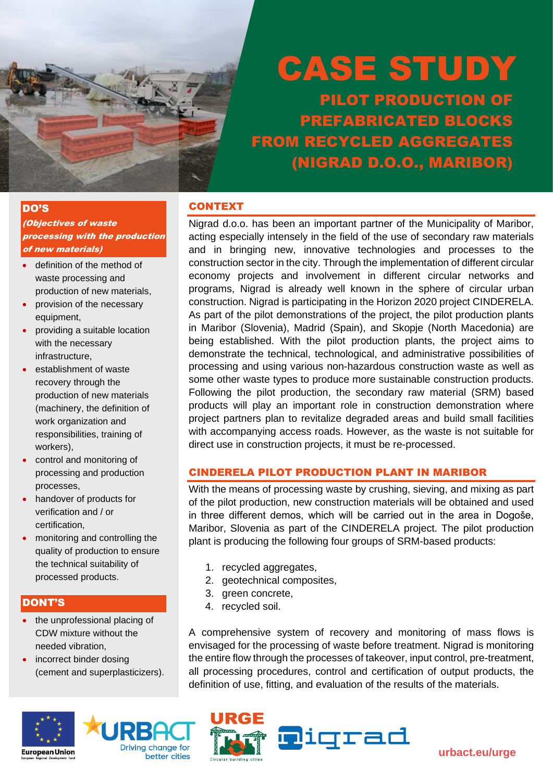

# CASE STUDY PILOT PRODUCTION OF PREFABRICATED BLOCKS FROM RECYCLED AGGREGATES

(NIGRAD D.O.O., MARIBOR)

#### DO'S

(Objectives of waste processing with the production of new materials)

- definition of the method of waste processing and production of new materials,
- provision of the necessary equipment,
- providing a suitable location with the necessary infrastructure,
- establishment of waste recovery through the production of new materials (machinery, the definition of work organization and responsibilities, training of workers),
- control and monitoring of processing and production processes,
- handover of products for verification and / or certification,
- monitoring and controlling the quality of production to ensure the technical suitability of processed products.

#### DONT'S

- the unprofessional placing of CDW mixture without the needed vibration,
- incorrect binder dosing (cement and superplasticizers).





### CONTEXT

Nigrad d.o.o. has been an important partner of the Municipality of Maribor, acting especially intensely in the field of the use of secondary raw materials and in bringing new, innovative technologies and processes to the construction sector in the city. Through the implementation of different circular economy projects and involvement in different circular networks and programs, Nigrad is already well known in the sphere of circular urban construction. Nigrad is participating in the Horizon 2020 project CINDERELA. As part of the pilot demonstrations of the project, the pilot production plants in Maribor (Slovenia), Madrid (Spain), and Skopje (North Macedonia) are being established. With the pilot production plants, the project aims to demonstrate the technical, technological, and administrative possibilities of processing and using various non-hazardous construction waste as well as some other waste types to produce more sustainable construction products. Following the pilot production, the secondary raw material (SRM) based products will play an important role in construction demonstration where project partners plan to revitalize degraded areas and build small facilities with accompanying access roads. However, as the waste is not suitable for direct use in construction projects, it must be re-processed.

## CINDERELA PILOT PRODUCTION PLANT IN MARIBOR

With the means of processing waste by crushing, sieving, and mixing as part of the pilot production, new construction materials will be obtained and used in three different demos, which will be carried out in the area in Dogoše, Maribor, Slovenia as part of the CINDERELA project. The pilot production plant is producing the following four groups of SRM-based products:

- 1. recycled aggregates,
- 2. geotechnical composites,
- 3. green concrete,
- 4. recycled soil.

A comprehensive system of recovery and monitoring of mass flows is envisaged for the processing of waste before treatment. Nigrad is monitoring the entire flow through the processes of takeover, input control, pre-treatment, all processing procedures, control and certification of output products, the definition of use, fitting, and evaluation of the results of the materials.